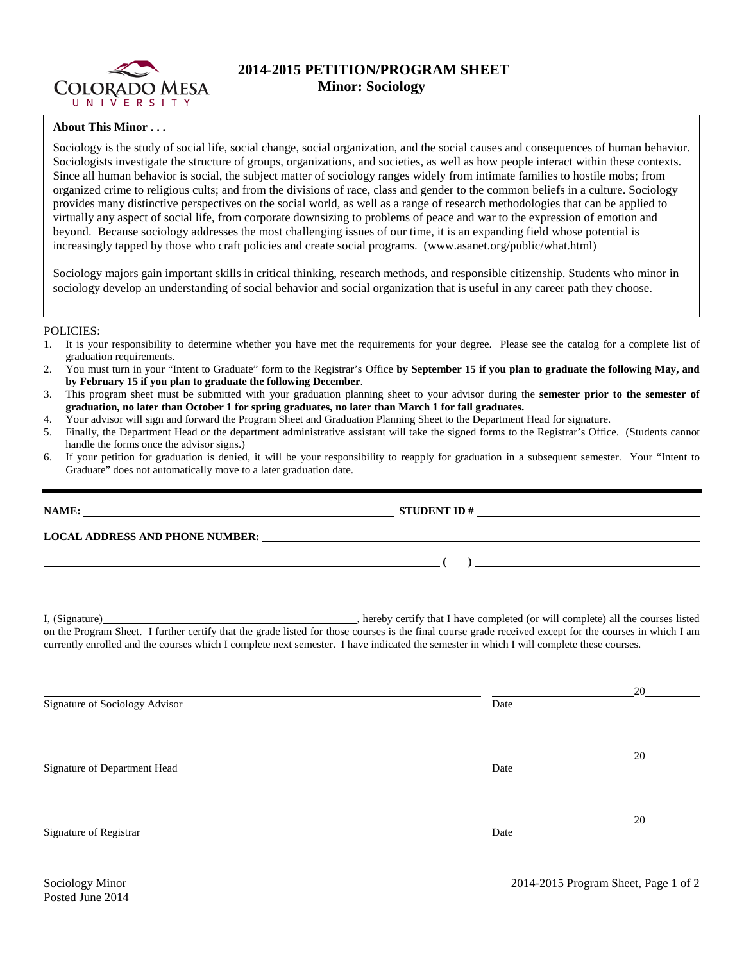

## **2014-2015 PETITION/PROGRAM SHEET Minor: Sociology**

## **About This Minor . . .**

Sociology is the study of social life, social change, social organization, and the social causes and consequences of human behavior. Sociologists investigate the structure of groups, organizations, and societies, as well as how people interact within these contexts. Since all human behavior is social, the subject matter of sociology ranges widely from intimate families to hostile mobs; from organized crime to religious cults; and from the divisions of race, class and gender to the common beliefs in a culture. Sociology provides many distinctive perspectives on the social world, as well as a range of research methodologies that can be applied to virtually any aspect of social life, from corporate downsizing to problems of peace and war to the expression of emotion and beyond. Because sociology addresses the most challenging issues of our time, it is an expanding field whose potential is increasingly tapped by those who craft policies and create social programs. (www.asanet.org/public/what.html)

Sociology majors gain important skills in critical thinking, research methods, and responsible citizenship. Students who minor in sociology develop an understanding of social behavior and social organization that is useful in any career path they choose.

## POLICIES:

- 1. It is your responsibility to determine whether you have met the requirements for your degree. Please see the catalog for a complete list of graduation requirements.
- 2. You must turn in your "Intent to Graduate" form to the Registrar's Office **by September 15 if you plan to graduate the following May, and by February 15 if you plan to graduate the following December**.
- 3. This program sheet must be submitted with your graduation planning sheet to your advisor during the **semester prior to the semester of graduation, no later than October 1 for spring graduates, no later than March 1 for fall graduates.**
- 4. Your advisor will sign and forward the Program Sheet and Graduation Planning Sheet to the Department Head for signature.
- 5. Finally, the Department Head or the department administrative assistant will take the signed forms to the Registrar's Office. (Students cannot handle the forms once the advisor signs.)
- 6. If your petition for graduation is denied, it will be your responsibility to reapply for graduation in a subsequent semester. Your "Intent to Graduate" does not automatically move to a later graduation date.

| $STUDENT ID # \_$                                                                                                                                                                                                                                                                                   |
|-----------------------------------------------------------------------------------------------------------------------------------------------------------------------------------------------------------------------------------------------------------------------------------------------------|
| LOCAL ADDRESS AND PHONE NUMBER: Under the contract of the contract of the contract of the contract of the contract of the contract of the contract of the contract of the contract of the contract of the contract of the cont                                                                      |
| $\overline{a}$ ( ) and the contract of $\overline{a}$ ( ) and the contract of $\overline{a}$ ( ) and the contract of $\overline{a}$ ( ) and $\overline{a}$ ( ) and $\overline{a}$ ( ) and $\overline{a}$ ( ) and $\overline{a}$ ( ) and $\overline{a}$ ( ) and $\overline{a}$ ( ) and $\over$       |
| on the Program Sheet. I further certify that the grade listed for those courses is the final course grade received except for the courses in which I am<br>currently enrolled and the courses which I complete next semester. I have indicated the semester in which I will complete these courses. |

Signature of Sociology Advisor Date and Sociology Advisor

Signature of Department Head Date

Signature of Registrar Date and Security and Security and Security and Security and Security and Security and Security and Security and Security and Security and Security and Security and Security and Security and Security

20

20

20